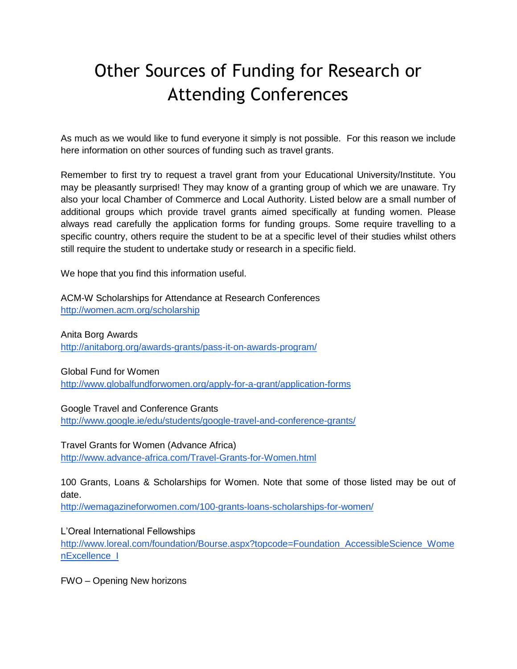## Other Sources of Funding for Research or Attending Conferences

As much as we would like to fund everyone it simply is not possible. For this reason we include here information on other sources of funding such as travel grants.

Remember to first try to request a travel grant from your Educational University/Institute. You may be pleasantly surprised! They may know of a granting group of which we are unaware. Try also your local Chamber of Commerce and Local Authority. Listed below are a small number of additional groups which provide travel grants aimed specifically at funding women. Please always read carefully the application forms for funding groups. Some require travelling to a specific country, others require the student to be at a specific level of their studies whilst others still require the student to undertake study or research in a specific field.

We hope that you find this information useful.

ACM-W Scholarships for Attendance at Research Conferences <http://women.acm.org/scholarship>

Anita Borg Awards <http://anitaborg.org/awards-grants/pass-it-on-awards-program/>

Global Fund for Women

<http://www.globalfundforwomen.org/apply-for-a-grant/application-forms>

Google Travel and Conference Grants <http://www.google.ie/edu/students/google-travel-and-conference-grants/>

Travel Grants for Women (Advance Africa) <http://www.advance-africa.com/Travel-Grants-for-Women.html>

100 Grants, Loans & Scholarships for Women. Note that some of those listed may be out of date.

<http://wemagazineforwomen.com/100-grants-loans-scholarships-for-women/>

L'Oreal International Fellowships [http://www.loreal.com/foundation/Bourse.aspx?topcode=Foundation\\_AccessibleScience\\_Wome](http://www.loreal.com/foundation/Bourse.aspx?topcode=Foundation_AccessibleScience_WomenExcellence_I) [nExcellence\\_I](http://www.loreal.com/foundation/Bourse.aspx?topcode=Foundation_AccessibleScience_WomenExcellence_I)

FWO – Opening New horizons